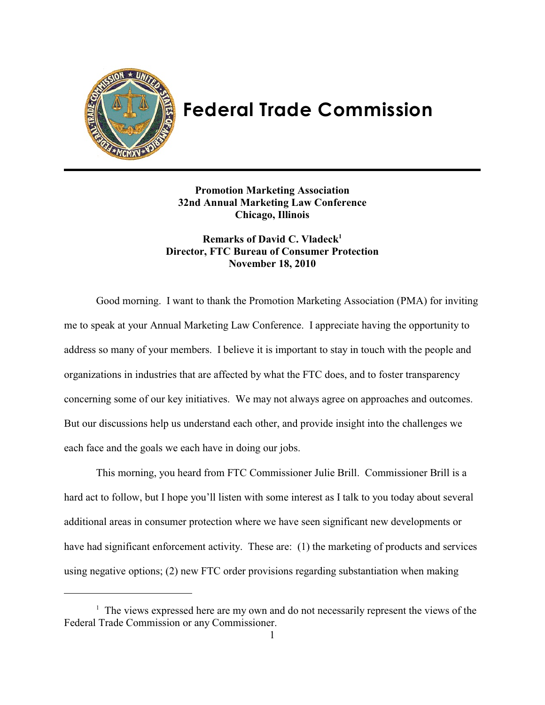

# **Federal Trade Commission**

**Promotion Marketing Association 32nd Annual Marketing Law Conference Chicago, Illinois**

**Remarks of David C. Vladeck<sup>1</sup> Director, FTC Bureau of Consumer Protection November 18, 2010**

Good morning. I want to thank the Promotion Marketing Association (PMA) for inviting me to speak at your Annual Marketing Law Conference. I appreciate having the opportunity to address so many of your members. I believe it is important to stay in touch with the people and organizations in industries that are affected by what the FTC does, and to foster transparency concerning some of our key initiatives. We may not always agree on approaches and outcomes. But our discussions help us understand each other, and provide insight into the challenges we each face and the goals we each have in doing our jobs.

This morning, you heard from FTC Commissioner Julie Brill. Commissioner Brill is a hard act to follow, but I hope you'll listen with some interest as I talk to you today about several additional areas in consumer protection where we have seen significant new developments or have had significant enforcement activity. These are: (1) the marketing of products and services using negative options; (2) new FTC order provisions regarding substantiation when making

 $\frac{1}{1}$  The views expressed here are my own and do not necessarily represent the views of the Federal Trade Commission or any Commissioner.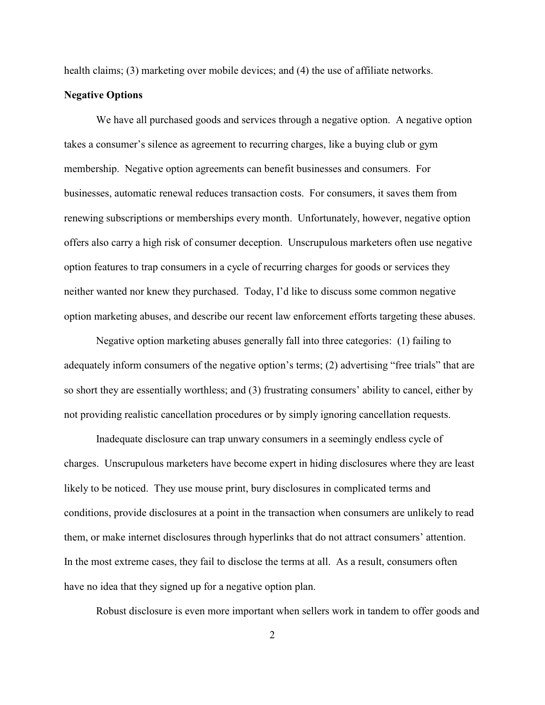health claims; (3) marketing over mobile devices; and (4) the use of affiliate networks.

#### **Negative Options**

We have all purchased goods and services through a negative option. A negative option takes a consumer's silence as agreement to recurring charges, like a buying club or gym membership. Negative option agreements can benefit businesses and consumers. For businesses, automatic renewal reduces transaction costs. For consumers, it saves them from renewing subscriptions or memberships every month. Unfortunately, however, negative option offers also carry a high risk of consumer deception. Unscrupulous marketers often use negative option features to trap consumers in a cycle of recurring charges for goods or services they neither wanted nor knew they purchased. Today, I'd like to discuss some common negative option marketing abuses, and describe our recent law enforcement efforts targeting these abuses.

Negative option marketing abuses generally fall into three categories: (1) failing to adequately inform consumers of the negative option's terms; (2) advertising "free trials" that are so short they are essentially worthless; and (3) frustrating consumers' ability to cancel, either by not providing realistic cancellation procedures or by simply ignoring cancellation requests.

Inadequate disclosure can trap unwary consumers in a seemingly endless cycle of charges. Unscrupulous marketers have become expert in hiding disclosures where they are least likely to be noticed. They use mouse print, bury disclosures in complicated terms and conditions, provide disclosures at a point in the transaction when consumers are unlikely to read them, or make internet disclosures through hyperlinks that do not attract consumers' attention. In the most extreme cases, they fail to disclose the terms at all. As a result, consumers often have no idea that they signed up for a negative option plan.

Robust disclosure is even more important when sellers work in tandem to offer goods and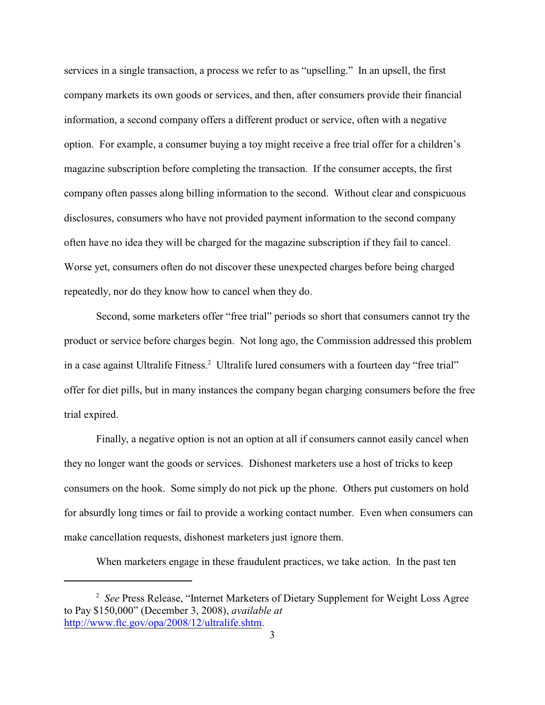services in a single transaction, a process we refer to as "upselling." In an upsell, the first company markets its own goods or services, and then, after consumers provide their financial information, a second company offers a different product or service, often with a negative option. For example, a consumer buying a toy might receive a free trial offer for a children's magazine subscription before completing the transaction. If the consumer accepts, the first company often passes along billing information to the second. Without clear and conspicuous disclosures, consumers who have not provided payment information to the second company often have no idea they will be charged for the magazine subscription if they fail to cancel. Worse yet, consumers often do not discover these unexpected charges before being charged repeatedly, nor do they know how to cancel when they do.

Second, some marketers offer "free trial" periods so short that consumers cannot try the product or service before charges begin. Not long ago, the Commission addressed this problem in a case against Ultralife Fitness.<sup>2</sup> Ultralife lured consumers with a fourteen day "free trial" offer for diet pills, but in many instances the company began charging consumers before the free trial expired.

Finally, a negative option is not an option at all if consumers cannot easily cancel when they no longer want the goods or services. Dishonest marketers use a host of tricks to keep consumers on the hook. Some simply do not pick up the phone. Others put customers on hold for absurdly long times or fail to provide a working contact number. Even when consumers can make cancellation requests, dishonest marketers just ignore them.

When marketers engage in these fraudulent practices, we take action. In the past ten

<sup>&</sup>lt;sup>2</sup> See Press Release, "Internet Marketers of Dietary Supplement for Weight Loss Agree to Pay \$150,000" (December 3, 2008), *available at* <http://www.ftc.gov/opa/2008/12/ultralife.shtm>.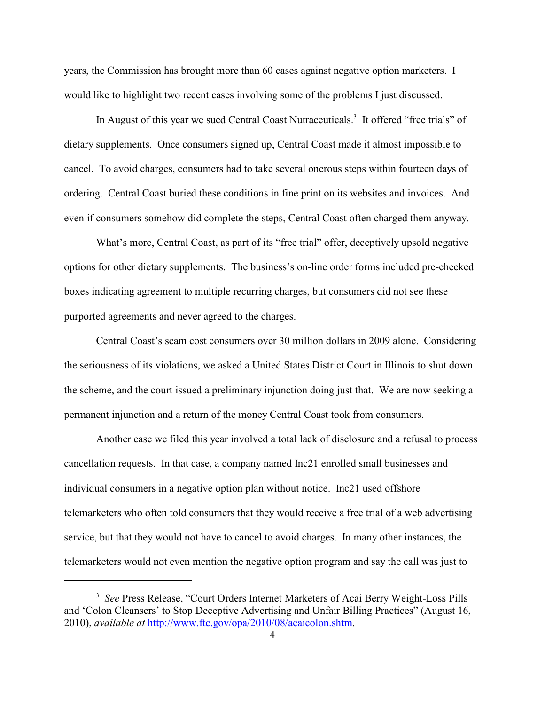years, the Commission has brought more than 60 cases against negative option marketers. I would like to highlight two recent cases involving some of the problems I just discussed.

In August of this year we sued Central Coast Nutraceuticals.<sup>3</sup> It offered "free trials" of dietary supplements. Once consumers signed up, Central Coast made it almost impossible to cancel. To avoid charges, consumers had to take several onerous steps within fourteen days of ordering. Central Coast buried these conditions in fine print on its websites and invoices. And even if consumers somehow did complete the steps, Central Coast often charged them anyway.

What's more, Central Coast, as part of its "free trial" offer, deceptively upsold negative options for other dietary supplements. The business's on-line order forms included pre-checked boxes indicating agreement to multiple recurring charges, but consumers did not see these purported agreements and never agreed to the charges.

Central Coast's scam cost consumers over 30 million dollars in 2009 alone. Considering the seriousness of its violations, we asked a United States District Court in Illinois to shut down the scheme, and the court issued a preliminary injunction doing just that. We are now seeking a permanent injunction and a return of the money Central Coast took from consumers.

Another case we filed this year involved a total lack of disclosure and a refusal to process cancellation requests. In that case, a company named Inc21 enrolled small businesses and individual consumers in a negative option plan without notice. Inc21 used offshore telemarketers who often told consumers that they would receive a free trial of a web advertising service, but that they would not have to cancel to avoid charges. In many other instances, the telemarketers would not even mention the negative option program and say the call was just to

<sup>&</sup>lt;sup>3</sup> See Press Release, "Court Orders Internet Marketers of Acai Berry Weight-Loss Pills and 'Colon Cleansers' to Stop Deceptive Advertising and Unfair Billing Practices" (August 16, 2010), *available at* <http://www.ftc.gov/opa/2010/08/acaicolon.shtm>.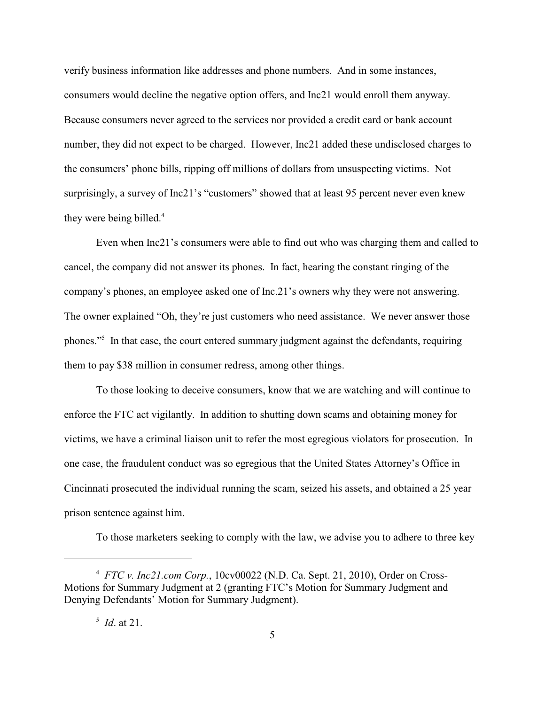verify business information like addresses and phone numbers. And in some instances, consumers would decline the negative option offers, and Inc21 would enroll them anyway. Because consumers never agreed to the services nor provided a credit card or bank account number, they did not expect to be charged. However, Inc21 added these undisclosed charges to the consumers' phone bills, ripping off millions of dollars from unsuspecting victims. Not surprisingly, a survey of Inc21's "customers" showed that at least 95 percent never even knew they were being billed.<sup>4</sup>

Even when Inc21's consumers were able to find out who was charging them and called to cancel, the company did not answer its phones. In fact, hearing the constant ringing of the company's phones, an employee asked one of Inc.21's owners why they were not answering. The owner explained "Oh, they're just customers who need assistance. We never answer those phones."<sup>5</sup> In that case, the court entered summary judgment against the defendants, requiring them to pay \$38 million in consumer redress, among other things.

To those looking to deceive consumers, know that we are watching and will continue to enforce the FTC act vigilantly. In addition to shutting down scams and obtaining money for victims, we have a criminal liaison unit to refer the most egregious violators for prosecution. In one case, the fraudulent conduct was so egregious that the United States Attorney's Office in Cincinnati prosecuted the individual running the scam, seized his assets, and obtained a 25 year prison sentence against him.

To those marketers seeking to comply with the law, we advise you to adhere to three key

<sup>&</sup>lt;sup>4</sup> *FTC v. Inc21.com Corp.*, 10cv00022 (N.D. Ca. Sept. 21, 2010), Order on Cross-Motions for Summary Judgment at 2 (granting FTC's Motion for Summary Judgment and Denying Defendants' Motion for Summary Judgment).

 $^5$  *Id.* at 21.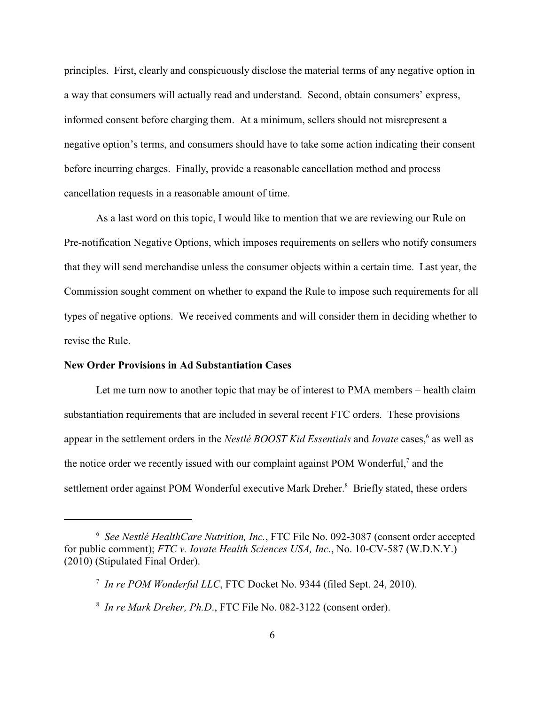principles. First, clearly and conspicuously disclose the material terms of any negative option in a way that consumers will actually read and understand. Second, obtain consumers' express, informed consent before charging them. At a minimum, sellers should not misrepresent a negative option's terms, and consumers should have to take some action indicating their consent before incurring charges. Finally, provide a reasonable cancellation method and process cancellation requests in a reasonable amount of time.

As a last word on this topic, I would like to mention that we are reviewing our Rule on Pre-notification Negative Options, which imposes requirements on sellers who notify consumers that they will send merchandise unless the consumer objects within a certain time. Last year, the Commission sought comment on whether to expand the Rule to impose such requirements for all types of negative options. We received comments and will consider them in deciding whether to revise the Rule.

### **New Order Provisions in Ad Substantiation Cases**

Let me turn now to another topic that may be of interest to PMA members – health claim substantiation requirements that are included in several recent FTC orders. These provisions appear in the settlement orders in the *Nestlé BOOST Kid Essentials* and *Iovate* cases,<sup>6</sup> as well as the notice order we recently issued with our complaint against POM Wonderful,<sup>7</sup> and the settlement order against POM Wonderful executive Mark Dreher.<sup>8</sup> Briefly stated, these orders

*See Nestlé HealthCare Nutrition, Inc.*, FTC File No. 092-3087 (consent order accepted <sup>6</sup> for public comment); *FTC v. Iovate Health Sciences USA, Inc*., No. 10-CV-587 (W.D.N.Y.) (2010) (Stipulated Final Order).

<sup>&</sup>lt;sup>7</sup> In re POM Wonderful LLC, FTC Docket No. 9344 (filed Sept. 24, 2010).

<sup>&</sup>lt;sup>8</sup> In re Mark Dreher, Ph.D., FTC File No. 082-3122 (consent order).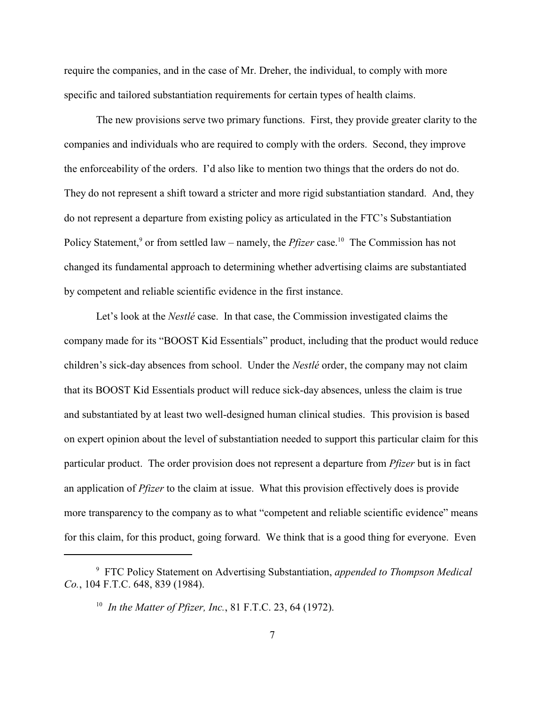require the companies, and in the case of Mr. Dreher, the individual, to comply with more specific and tailored substantiation requirements for certain types of health claims.

The new provisions serve two primary functions. First, they provide greater clarity to the companies and individuals who are required to comply with the orders. Second, they improve the enforceability of the orders. I'd also like to mention two things that the orders do not do. They do not represent a shift toward a stricter and more rigid substantiation standard. And, they do not represent a departure from existing policy as articulated in the FTC's Substantiation Policy Statement,<sup>9</sup> or from settled law – namely, the *Pfizer* case.<sup>10</sup> The Commission has not changed its fundamental approach to determining whether advertising claims are substantiated by competent and reliable scientific evidence in the first instance.

Let's look at the *Nestlé* case. In that case, the Commission investigated claims the company made for its "BOOST Kid Essentials" product, including that the product would reduce children's sick-day absences from school. Under the *Nestlé* order, the company may not claim that its BOOST Kid Essentials product will reduce sick-day absences, unless the claim is true and substantiated by at least two well-designed human clinical studies. This provision is based on expert opinion about the level of substantiation needed to support this particular claim for this particular product. The order provision does not represent a departure from *Pfizer* but is in fact an application of *Pfizer* to the claim at issue. What this provision effectively does is provide more transparency to the company as to what "competent and reliable scientific evidence" means for this claim, for this product, going forward. We think that is a good thing for everyone. Even

FTC Policy Statement on Advertising Substantiation, *appended to Thompson Medical* <sup>9</sup> *Co.*, 104 F.T.C. 648, 839 (1984).

*In the Matter of Pfizer, Inc.*, 81 F.T.C. 23, 64 (1972). 10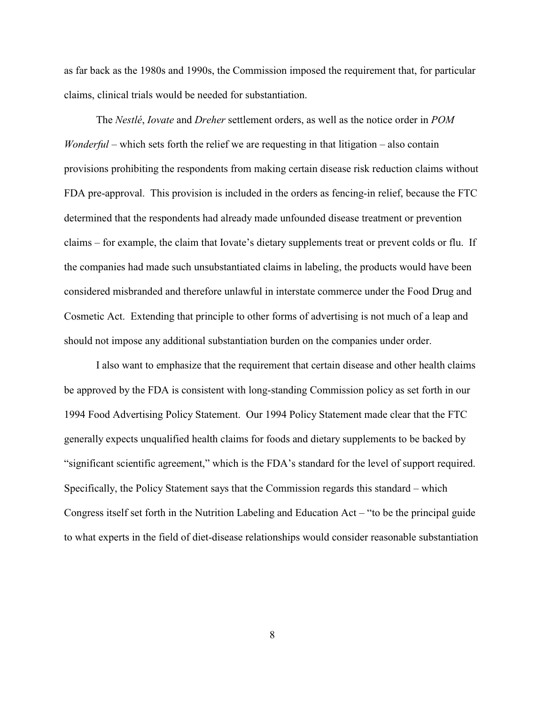as far back as the 1980s and 1990s, the Commission imposed the requirement that, for particular claims, clinical trials would be needed for substantiation.

The *Nestlé*, *Iovate* and *Dreher* settlement orders, as well as the notice order in *POM Wonderful* – which sets forth the relief we are requesting in that litigation – also contain provisions prohibiting the respondents from making certain disease risk reduction claims without FDA pre-approval. This provision is included in the orders as fencing-in relief, because the FTC determined that the respondents had already made unfounded disease treatment or prevention claims – for example, the claim that Iovate's dietary supplements treat or prevent colds or flu. If the companies had made such unsubstantiated claims in labeling, the products would have been considered misbranded and therefore unlawful in interstate commerce under the Food Drug and Cosmetic Act. Extending that principle to other forms of advertising is not much of a leap and should not impose any additional substantiation burden on the companies under order.

I also want to emphasize that the requirement that certain disease and other health claims be approved by the FDA is consistent with long-standing Commission policy as set forth in our 1994 Food Advertising Policy Statement. Our 1994 Policy Statement made clear that the FTC generally expects unqualified health claims for foods and dietary supplements to be backed by "significant scientific agreement," which is the FDA's standard for the level of support required. Specifically, the Policy Statement says that the Commission regards this standard – which Congress itself set forth in the Nutrition Labeling and Education Act – "to be the principal guide to what experts in the field of diet-disease relationships would consider reasonable substantiation

8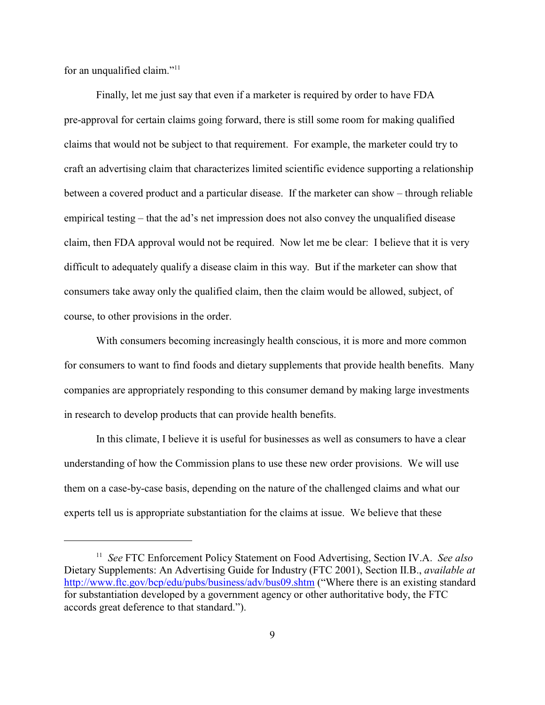for an unqualified claim."<sup>11</sup>

Finally, let me just say that even if a marketer is required by order to have FDA pre-approval for certain claims going forward, there is still some room for making qualified claims that would not be subject to that requirement. For example, the marketer could try to craft an advertising claim that characterizes limited scientific evidence supporting a relationship between a covered product and a particular disease. If the marketer can show – through reliable empirical testing – that the ad's net impression does not also convey the unqualified disease claim, then FDA approval would not be required. Now let me be clear: I believe that it is very difficult to adequately qualify a disease claim in this way. But if the marketer can show that consumers take away only the qualified claim, then the claim would be allowed, subject, of course, to other provisions in the order.

With consumers becoming increasingly health conscious, it is more and more common for consumers to want to find foods and dietary supplements that provide health benefits. Many companies are appropriately responding to this consumer demand by making large investments in research to develop products that can provide health benefits.

In this climate, I believe it is useful for businesses as well as consumers to have a clear understanding of how the Commission plans to use these new order provisions. We will use them on a case-by-case basis, depending on the nature of the challenged claims and what our experts tell us is appropriate substantiation for the claims at issue. We believe that these

<sup>&</sup>lt;sup>11</sup> See FTC Enforcement Policy Statement on Food Advertising, Section IV.A. See also Dietary Supplements: An Advertising Guide for Industry (FTC 2001), Section II.B., *available at* <http://www.ftc.gov/bcp/edu/pubs/business/adv/bus09.shtm> ("Where there is an existing standard for substantiation developed by a government agency or other authoritative body, the FTC accords great deference to that standard.").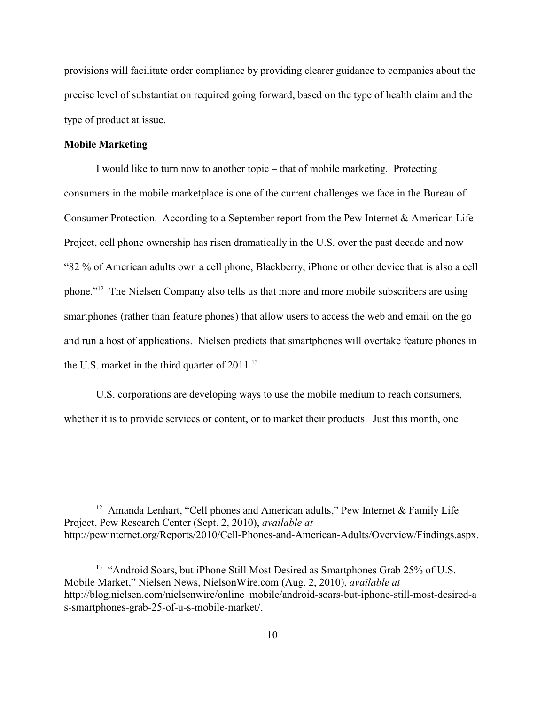provisions will facilitate order compliance by providing clearer guidance to companies about the precise level of substantiation required going forward, based on the type of health claim and the type of product at issue.

## **Mobile Marketing**

I would like to turn now to another topic – that of mobile marketing. Protecting consumers in the mobile marketplace is one of the current challenges we face in the Bureau of Consumer Protection. According to a September report from the Pew Internet & American Life Project, cell phone ownership has risen dramatically in the U.S. over the past decade and now "82 % of American adults own a cell phone, Blackberry, iPhone or other device that is also a cell phone."<sup>12</sup> The Nielsen Company also tells us that more and more mobile subscribers are using smartphones (rather than feature phones) that allow users to access the web and email on the go and run a host of applications. Nielsen predicts that smartphones will overtake feature phones in the U.S. market in the third quarter of  $2011$ .<sup>13</sup>

U.S. corporations are developing ways to use the mobile medium to reach consumers, whether it is to provide services or content, or to market their products. Just this month, one

<sup>&</sup>lt;sup>12</sup> Amanda Lenhart, "Cell phones and American adults," Pew Internet & Family Life Project, Pew Research Center (Sept. 2, 2010), *available at* http://pewinternet.org/Reports/2010/Cell-Phones-and-American-Adults/Overview/Findings.asp[x.](http://pewinternet.org/Reports/2010/Cell-Phones-and-American-Adults/Overview/Findings.aspx)

 $13$  "Android Soars, but iPhone Still Most Desired as Smartphones Grab  $25\%$  of U.S. Mobile Market," Nielsen News, NielsonWire.com (Aug. 2, 2010), *available at* http://blog.nielsen.com/nielsenwire/online\_mobile/android-soars-but-iphone-still-most-desired-a s-smartphones-grab-25-of-u-s-mobile-market/.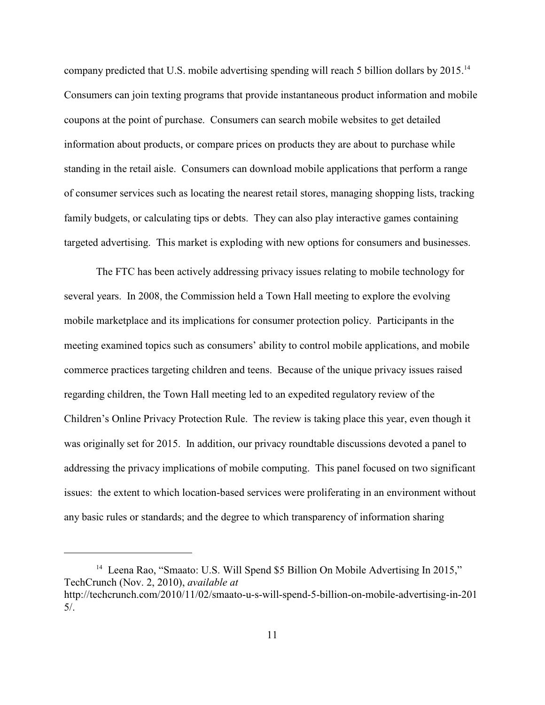company predicted that U.S. mobile advertising spending will reach 5 billion dollars by 2015.<sup>14</sup> Consumers can join texting programs that provide instantaneous product information and mobile coupons at the point of purchase. Consumers can search mobile websites to get detailed information about products, or compare prices on products they are about to purchase while standing in the retail aisle. Consumers can download mobile applications that perform a range of consumer services such as locating the nearest retail stores, managing shopping lists, tracking family budgets, or calculating tips or debts. They can also play interactive games containing targeted advertising. This market is exploding with new options for consumers and businesses.

The FTC has been actively addressing privacy issues relating to mobile technology for several years. In 2008, the Commission held a Town Hall meeting to explore the evolving mobile marketplace and its implications for consumer protection policy. Participants in the meeting examined topics such as consumers' ability to control mobile applications, and mobile commerce practices targeting children and teens. Because of the unique privacy issues raised regarding children, the Town Hall meeting led to an expedited regulatory review of the Children's Online Privacy Protection Rule. The review is taking place this year, even though it was originally set for 2015. In addition, our privacy roundtable discussions devoted a panel to addressing the privacy implications of mobile computing. This panel focused on two significant issues: the extent to which location-based services were proliferating in an environment without any basic rules or standards; and the degree to which transparency of information sharing

<sup>&</sup>lt;sup>14</sup> Leena Rao, "Smaato: U.S. Will Spend \$5 Billion On Mobile Advertising In 2015," TechCrunch (Nov. 2, 2010), *available at* http://techcrunch.com/2010/11/02/smaato-u-s-will-spend-5-billion-on-mobile-advertising-in-201 5/.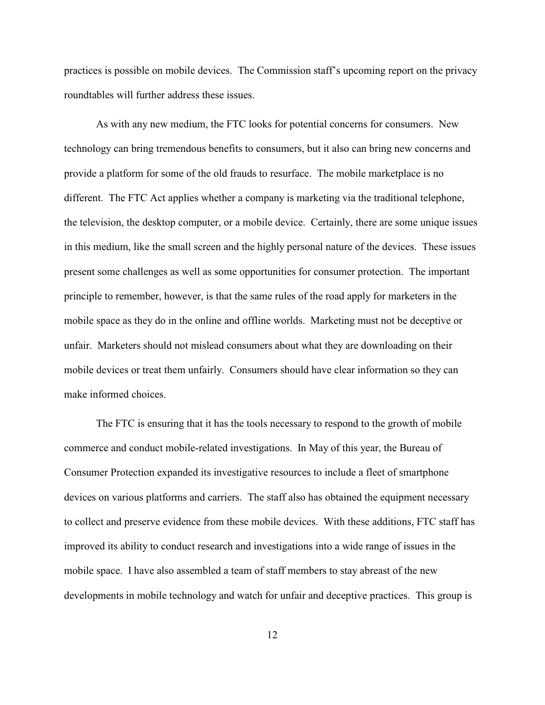practices is possible on mobile devices. The Commission staff's upcoming report on the privacy roundtables will further address these issues.

As with any new medium, the FTC looks for potential concerns for consumers. New technology can bring tremendous benefits to consumers, but it also can bring new concerns and provide a platform for some of the old frauds to resurface. The mobile marketplace is no different. The FTC Act applies whether a company is marketing via the traditional telephone, the television, the desktop computer, or a mobile device. Certainly, there are some unique issues in this medium, like the small screen and the highly personal nature of the devices. These issues present some challenges as well as some opportunities for consumer protection. The important principle to remember, however, is that the same rules of the road apply for marketers in the mobile space as they do in the online and offline worlds. Marketing must not be deceptive or unfair. Marketers should not mislead consumers about what they are downloading on their mobile devices or treat them unfairly. Consumers should have clear information so they can make informed choices.

The FTC is ensuring that it has the tools necessary to respond to the growth of mobile commerce and conduct mobile-related investigations. In May of this year, the Bureau of Consumer Protection expanded its investigative resources to include a fleet of smartphone devices on various platforms and carriers. The staff also has obtained the equipment necessary to collect and preserve evidence from these mobile devices. With these additions, FTC staff has improved its ability to conduct research and investigations into a wide range of issues in the mobile space. I have also assembled a team of staff members to stay abreast of the new developments in mobile technology and watch for unfair and deceptive practices. This group is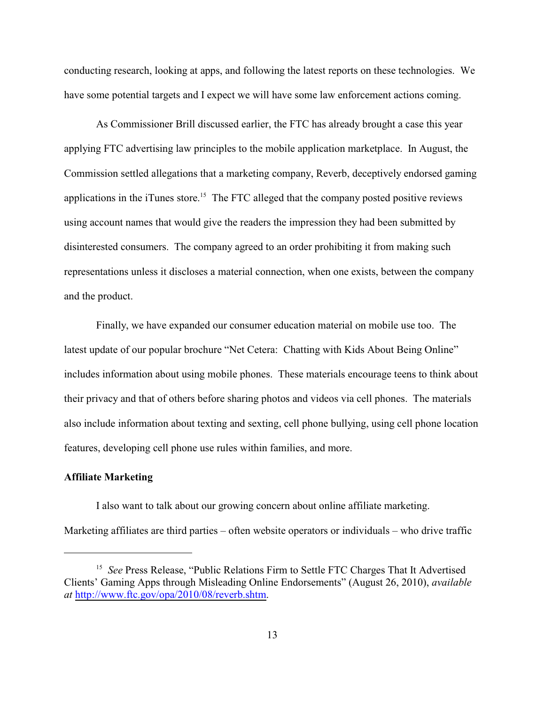conducting research, looking at apps, and following the latest reports on these technologies. We have some potential targets and I expect we will have some law enforcement actions coming.

As Commissioner Brill discussed earlier, the FTC has already brought a case this year applying FTC advertising law principles to the mobile application marketplace. In August, the Commission settled allegations that a marketing company, Reverb, deceptively endorsed gaming applications in the iTunes store.<sup>15</sup> The FTC alleged that the company posted positive reviews using account names that would give the readers the impression they had been submitted by disinterested consumers. The company agreed to an order prohibiting it from making such representations unless it discloses a material connection, when one exists, between the company and the product.

Finally, we have expanded our consumer education material on mobile use too. The latest update of our popular brochure "Net Cetera: Chatting with Kids About Being Online" includes information about using mobile phones. These materials encourage teens to think about their privacy and that of others before sharing photos and videos via cell phones. The materials also include information about texting and sexting, cell phone bullying, using cell phone location features, developing cell phone use rules within families, and more.

## **Affiliate Marketing**

I also want to talk about our growing concern about online affiliate marketing. Marketing affiliates are third parties – often website operators or individuals – who drive traffic

<sup>&</sup>lt;sup>15</sup> See Press Release, "Public Relations Firm to Settle FTC Charges That It Advertised Clients' Gaming Apps through Misleading Online Endorsements" (August 26, 2010), *available at* <http://www.ftc.gov/opa/2010/08/reverb.shtm>.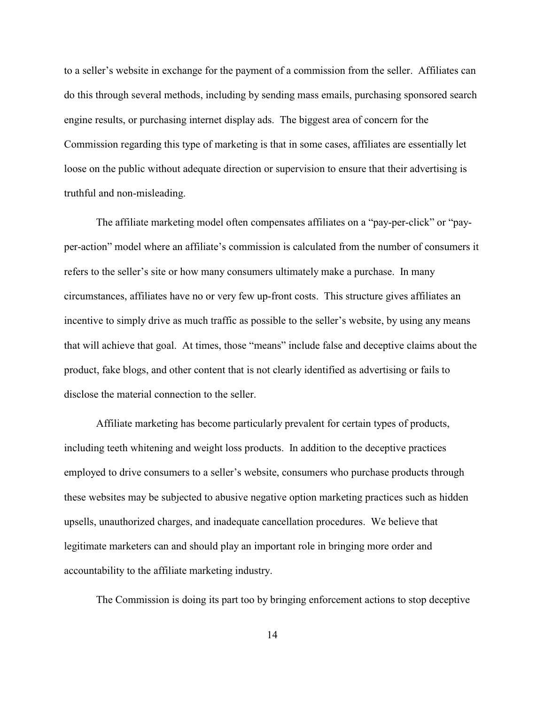to a seller's website in exchange for the payment of a commission from the seller. Affiliates can do this through several methods, including by sending mass emails, purchasing sponsored search engine results, or purchasing internet display ads. The biggest area of concern for the Commission regarding this type of marketing is that in some cases, affiliates are essentially let loose on the public without adequate direction or supervision to ensure that their advertising is truthful and non-misleading.

The affiliate marketing model often compensates affiliates on a "pay-per-click" or "payper-action" model where an affiliate's commission is calculated from the number of consumers it refers to the seller's site or how many consumers ultimately make a purchase. In many circumstances, affiliates have no or very few up-front costs. This structure gives affiliates an incentive to simply drive as much traffic as possible to the seller's website, by using any means that will achieve that goal. At times, those "means" include false and deceptive claims about the product, fake blogs, and other content that is not clearly identified as advertising or fails to disclose the material connection to the seller.

Affiliate marketing has become particularly prevalent for certain types of products, including teeth whitening and weight loss products. In addition to the deceptive practices employed to drive consumers to a seller's website, consumers who purchase products through these websites may be subjected to abusive negative option marketing practices such as hidden upsells, unauthorized charges, and inadequate cancellation procedures. We believe that legitimate marketers can and should play an important role in bringing more order and accountability to the affiliate marketing industry.

The Commission is doing its part too by bringing enforcement actions to stop deceptive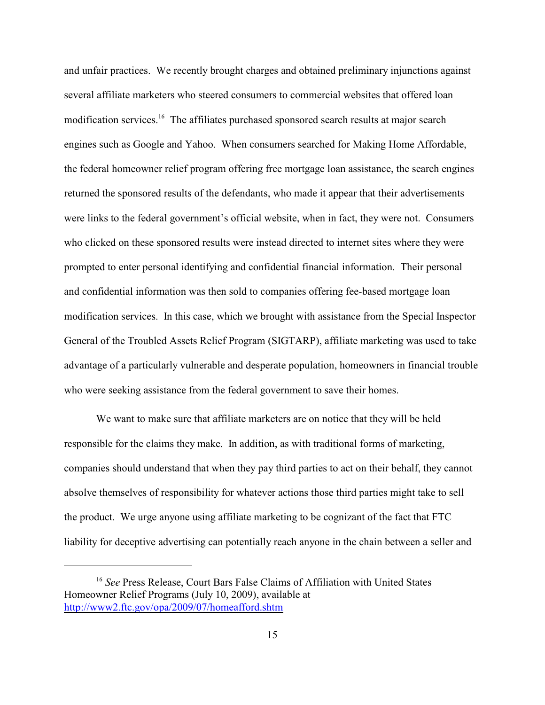and unfair practices. We recently brought charges and obtained preliminary injunctions against several affiliate marketers who steered consumers to commercial websites that offered loan modification services.<sup>16</sup> The affiliates purchased sponsored search results at major search engines such as Google and Yahoo. When consumers searched for Making Home Affordable, the federal homeowner relief program offering free mortgage loan assistance, the search engines returned the sponsored results of the defendants, who made it appear that their advertisements were links to the federal government's official website, when in fact, they were not. Consumers who clicked on these sponsored results were instead directed to internet sites where they were prompted to enter personal identifying and confidential financial information. Their personal and confidential information was then sold to companies offering fee-based mortgage loan modification services. In this case, which we brought with assistance from the Special Inspector General of the Troubled Assets Relief Program (SIGTARP), affiliate marketing was used to take advantage of a particularly vulnerable and desperate population, homeowners in financial trouble who were seeking assistance from the federal government to save their homes.

We want to make sure that affiliate marketers are on notice that they will be held responsible for the claims they make. In addition, as with traditional forms of marketing, companies should understand that when they pay third parties to act on their behalf, they cannot absolve themselves of responsibility for whatever actions those third parties might take to sell the product. We urge anyone using affiliate marketing to be cognizant of the fact that FTC liability for deceptive advertising can potentially reach anyone in the chain between a seller and

<sup>&</sup>lt;sup>16</sup> See Press Release, Court Bars False Claims of Affiliation with United States Homeowner Relief Programs (July 10, 2009), available at <http://www2.ftc.gov/opa/2009/07/homeafford.shtm>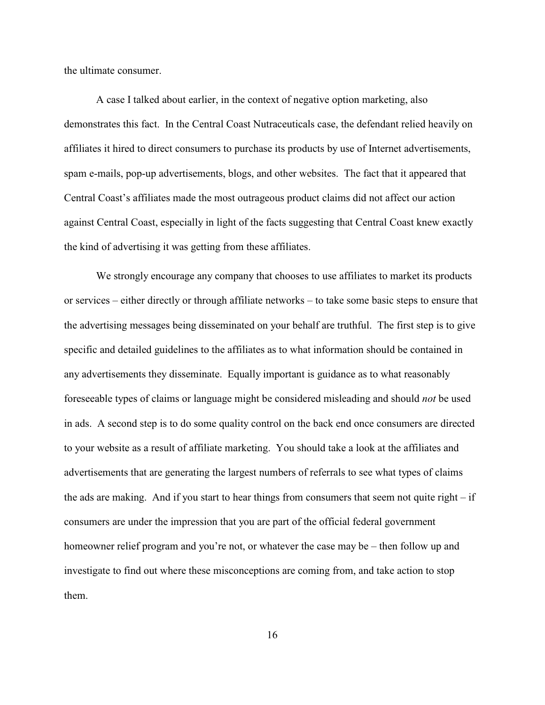the ultimate consumer.

A case I talked about earlier, in the context of negative option marketing, also demonstrates this fact. In the Central Coast Nutraceuticals case, the defendant relied heavily on affiliates it hired to direct consumers to purchase its products by use of Internet advertisements, spam e-mails, pop-up advertisements, blogs, and other websites. The fact that it appeared that Central Coast's affiliates made the most outrageous product claims did not affect our action against Central Coast, especially in light of the facts suggesting that Central Coast knew exactly the kind of advertising it was getting from these affiliates.

We strongly encourage any company that chooses to use affiliates to market its products or services – either directly or through affiliate networks – to take some basic steps to ensure that the advertising messages being disseminated on your behalf are truthful. The first step is to give specific and detailed guidelines to the affiliates as to what information should be contained in any advertisements they disseminate. Equally important is guidance as to what reasonably foreseeable types of claims or language might be considered misleading and should *not* be used in ads. A second step is to do some quality control on the back end once consumers are directed to your website as a result of affiliate marketing. You should take a look at the affiliates and advertisements that are generating the largest numbers of referrals to see what types of claims the ads are making. And if you start to hear things from consumers that seem not quite right  $-$  if consumers are under the impression that you are part of the official federal government homeowner relief program and you're not, or whatever the case may be – then follow up and investigate to find out where these misconceptions are coming from, and take action to stop them.

16